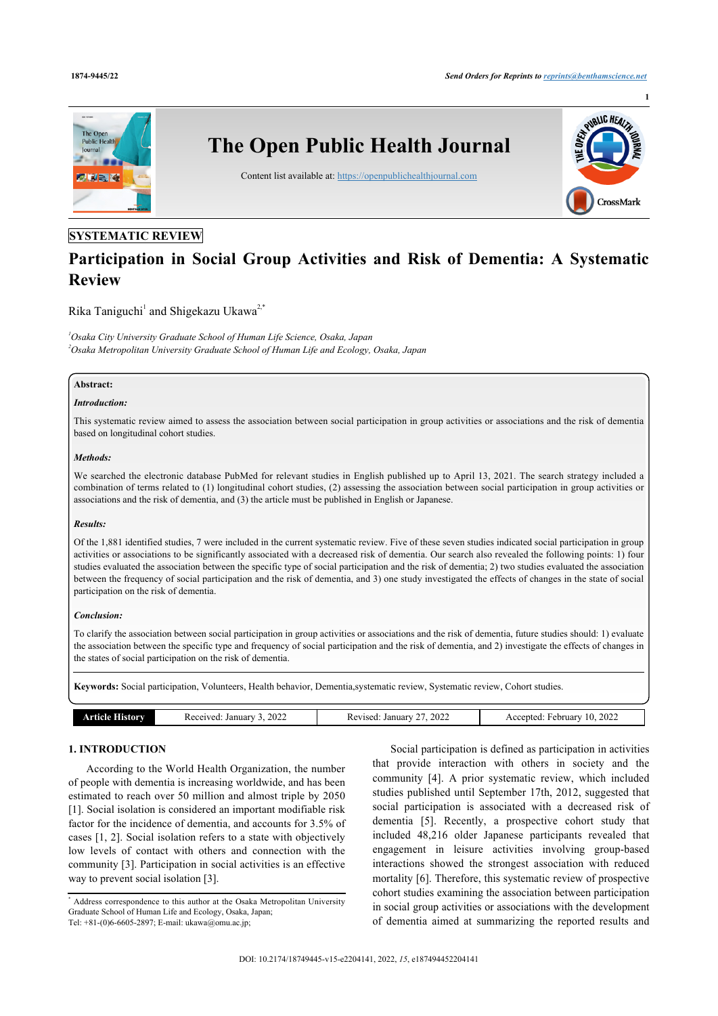**1**



# **SYSTEMATIC REVIEW**

# **Participation in Social Group Activities and Risk of Dementia: A Systematic Review**

Rika Taniguchi<sup>[1](#page-0-0)</sup> and Shigekazu Ukawa<sup>[2](#page-0-1)[,\\*](#page-0-2)</sup>

<span id="page-0-1"></span><span id="page-0-0"></span>*<sup>1</sup>Osaka City University Graduate School of Human Life Science, Osaka, Japan <sup>2</sup>Osaka Metropolitan University Graduate School of Human Life and Ecology, Osaka, Japan*

#### **Abstract:**

#### *Introduction:*

This systematic review aimed to assess the association between social participation in group activities or associations and the risk of dementia based on longitudinal cohort studies.

#### *Methods:*

We searched the electronic database PubMed for relevant studies in English published up to April 13, 2021. The search strategy included a combination of terms related to (1) longitudinal cohort studies, (2) assessing the association between social participation in group activities or associations and the risk of dementia, and (3) the article must be published in English or Japanese.

#### *Results:*

Of the 1,881 identified studies, 7 were included in the current systematic review. Five of these seven studies indicated social participation in group activities or associations to be significantly associated with a decreased risk of dementia. Our search also revealed the following points: 1) four studies evaluated the association between the specific type of social participation and the risk of dementia; 2) two studies evaluated the association between the frequency of social participation and the risk of dementia, and 3) one study investigated the effects of changes in the state of social participation on the risk of dementia.

#### *Conclusion:*

To clarify the association between social participation in group activities or associations and the risk of dementia, future studies should: 1) evaluate the association between the specific type and frequency of social participation and the risk of dementia, and 2) investigate the effects of changes in the states of social participation on the risk of dementia.

**Keywords:** Social participation, Volunteers, Health behavior, Dementia,systematic review, Systematic review, Cohort studies.

|  | <b>Article History</b> | 2022<br>Received: January | 2022<br>Revised<br>January 1 | 10.2022<br>Accepted<br>February |
|--|------------------------|---------------------------|------------------------------|---------------------------------|
|--|------------------------|---------------------------|------------------------------|---------------------------------|

## **1. INTRODUCTION**

According to the World Health Organization, the number of people with dementia is increasing worldwide, and has been estimated to reach over 50 million and almost triple by 2050 [[1](#page-5-0)]. Social isolation is considered an important modifiable risk factor for the incidence of dementia, and accounts for 3.5% of cases [[1,](#page-5-0) [2](#page-5-1)]. Social isolation refers to a state with objectively low levels of contact with others and connection with the community [[3](#page-5-2)]. Participation in social activities is an effective way to prevent social isolation [[3](#page-5-2)].

Social participation is defined as participation in activities that provide interaction with others in society and the community [\[4\]](#page-5-3). A prior systematic review, which included studies published until September 17th, 2012, suggested that social participation is associated with a decreased risk of dementia[[5\]](#page-5-4). Recently, a prospective cohort study that included 48,216 older Japanese participants revealed that engagement in leisure activities involving group-based interactions showed the strongest association with reduced mortality [\[6\]](#page-5-5). Therefore, this systematic review of prospective cohort studies examining the association between participation in social group activities or associations with the development of dementia aimed at summarizing the reported results and

<span id="page-0-2"></span><sup>\*</sup> Address correspondence to this author at the Osaka Metropolitan University Graduate School of Human Life and Ecology, Osaka, Japan; Tel: +81-(0)6-6605-2897; E-mail: [ukawa@omu.ac.jp](mailto:ukawa@omu.ac.jp);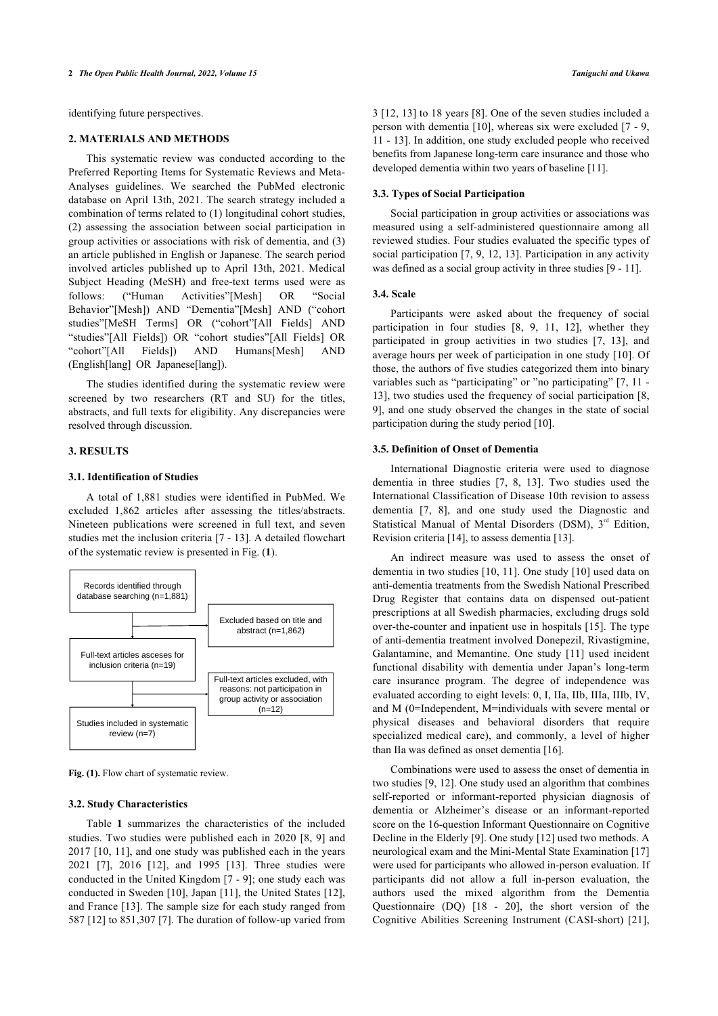identifying future perspectives.

#### **2. MATERIALS AND METHODS**

This systematic review was conducted according to the Preferred Reporting Items for Systematic Reviews and Meta-Analyses guidelines. We searched the PubMed electronic database on April 13th, 2021. The search strategy included a combination of terms related to (1) longitudinal cohort studies, (2) assessing the association between social participation in group activities or associations with risk of dementia, and (3) an article published in English or Japanese. The search period involved articles published up to April 13th, 2021. Medical Subject Heading (MeSH) and free-text terms used were as follows: ("Human Activities"[Mesh] OR "Social Behavior"[Mesh]) AND "Dementia"[Mesh] AND ("cohort studies"[MeSH Terms] OR ("cohort"[All Fields] AND "studies"[All Fields]) OR "cohort studies"[All Fields] OR "cohort"[All Fields]) AND Humans[Mesh] AND (English[lang] OR Japanese[lang]).

The studies identified during the systematic review were screened by two researchers (RT and SU) for the titles, abstracts, and full texts for eligibility. Any discrepancies were resolved through discussion.

#### **3. RESULTS**

#### **3.1. Identification of Studies**

A total of 1,881 studies were identified in PubMed. We excluded 1,862 articles after assessing the titles/abstracts. Nineteen publications were screened in full text, and seven studies met the inclusion criteria [[7](#page-5-6) - [13](#page-5-7)]. A detailed flowchart of the systematic review is presented in Fig. (**[1](#page-1-0)**).

<span id="page-1-0"></span>

Fig. (1). Flow chart of systematic review.

#### **3.2. Study Characteristics**

Table**1** summarizes the characteristics of the included studies. Two studies were published each in 2020 [[8,](#page-5-8) [9\]](#page-5-9) and 2017 [[10](#page-5-10), [11](#page-5-11)], and one study was published each in the years 2021 [\[7](#page-5-6)], 2016[[12\]](#page-5-12), and 1995[[13](#page-5-7)]. Three studies were conducted in the United Kingdom [[7](#page-5-6) - [9](#page-5-9)]; one study each was conducted in Sweden [[10\]](#page-5-10), Japan [\[11\]](#page-5-11), the United States [[12\]](#page-5-12), and France [[13\]](#page-5-7). The sample size for each study ranged from 587 [[12\]](#page-5-12) to 851,307 [\[7\]](#page-5-6). The duration of follow-up varied from 3 [\[12](#page-5-12), [13](#page-5-7)] to 18 years [\[8](#page-5-8)]. One of the seven studies included a person with dementia [[10](#page-5-10)], whereas six were excluded [[7](#page-5-6) - [9](#page-5-9), [11](#page-5-11) - [13](#page-5-7)]. In addition, one study excluded people who received benefits from Japanese long-term care insurance and those who developed dementia within two years of baseline [\[11](#page-5-11)].

#### **3.3. Types of Social Participation**

Social participation in group activities or associations was measured using a self-administered questionnaire among all reviewed studies. Four studies evaluated the specific types of social participation [\[7,](#page-5-6) [9](#page-5-9), [12,](#page-5-12) [13\]](#page-5-7). Participation in any activity was defined as a social group activity in three studies [[9](#page-5-9) - [11\]](#page-5-11).

#### **3.4. Scale**

Participants were asked about the frequency of social participation in four studies[[8](#page-5-8), [9](#page-5-9), [11,](#page-5-11) [12](#page-5-12)], whether they participated in group activities in two studies[[7,](#page-5-6) [13\]](#page-5-7), and average hours per week of participation in one study [[10\]](#page-5-10). Of those, the authors of five studies categorized them into binary variables such as "participating" or "no participating" [\[7,](#page-5-6) [11](#page-5-11) -[13](#page-5-7)], two studies used the frequency of social participation [[8](#page-5-8), [9\]](#page-5-9), and one study observed the changes in the state of social participation during the study period [[10\]](#page-5-10).

#### **3.5. Definition of Onset of Dementia**

International Diagnostic criteria were used to diagnose dementia in three studies [\[7,](#page-5-6) [8,](#page-5-8) [13\]](#page-5-7). Two studies used the International Classification of Disease 10th revision to assess dementia [\[7,](#page-5-6) [8](#page-5-8)], and one study used the Diagnostic and Statistical Manual of Mental Disorders (DSM),  $3<sup>rd</sup>$  Edition, Revision criteria [[14\]](#page-5-13), to assess dementia [\[13](#page-5-7)].

An indirect measure was used to assess the onset of dementia in two studies [[10,](#page-5-10) [11\]](#page-5-11). One study [\[10\]](#page-5-10) used data on anti-dementia treatments from the Swedish National Prescribed Drug Register that contains data on dispensed out-patient prescriptions at all Swedish pharmacies, excluding drugs sold over-the-counter and inpatient use in hospitals [\[15\]](#page-5-14). The type of anti-dementia treatment involved Donepezil, Rivastigmine, Galantamine, and Memantine. One study [\[11\]](#page-5-11) used incident functional disability with dementia under Japan's long-term care insurance program. The degree of independence was evaluated according to eight levels: 0, I, IIa, IIb, IIIa, IIIb, IV, and M (0=Independent, M=individuals with severe mental or physical diseases and behavioral disorders that require specialized medical care), and commonly, a level of higher than IIa was defined as onset dementia [[16\]](#page-5-15).

Combinations were used to assess the onset of dementia in two studies [\[9,](#page-5-9) [12\]](#page-5-12). One study used an algorithm that combines self-reported or informant-reported physician diagnosis of dementia or Alzheimer's disease or an informant-reported score on the 16-question Informant Questionnaire on Cognitive Decline in the Elderly [[9](#page-5-9)]. One study [\[12](#page-5-12)] used two methods. A neurological exam and the Mini-Mental State Examination [[17\]](#page-5-16) were used for participants who allowed in-person evaluation. If participants did not allow a full in-person evaluation, the authors used the mixed algorithm from the Dementia Questionnaire (DQ)[[18](#page-5-17) - [20](#page-6-0)], the short version of the Cognitive Abilities Screening Instrument (CASI-short)[[21](#page-6-1)],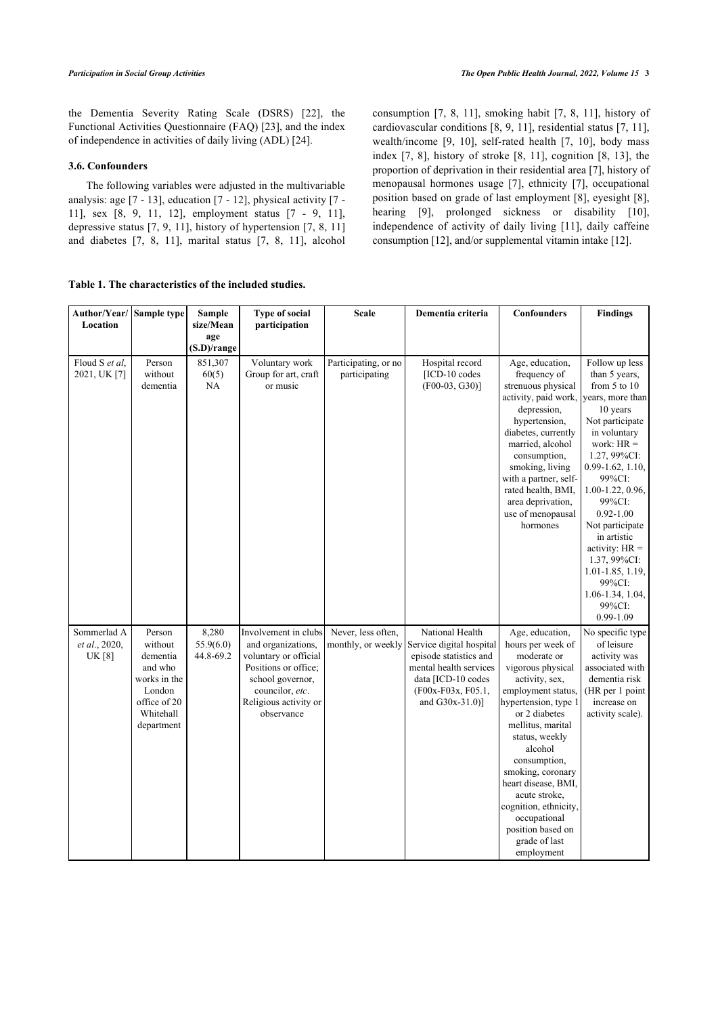the Dementia Severity Rating Scale (DSRS) [\[22\]](#page-6-2), the Functional Activities Questionnaire (FAQ) [[23\]](#page-6-3), and the index of independence in activities of daily living (ADL) [\[24](#page-6-4)].

# **3.6. Confounders**

The following variables were adjusted in the multivariable analysis: age [[7](#page-5-6) - [13](#page-5-7)], education [\[7](#page-5-6) - [12](#page-5-12)], physical activity [\[7](#page-5-6) - [11\]](#page-5-11), sex[[8](#page-5-8), [9,](#page-5-9) [11,](#page-5-11) [12\]](#page-5-12), employment status[[7](#page-5-6) - [9,](#page-5-9) [11\]](#page-5-11), depressive status [\[7,](#page-5-6) [9,](#page-5-9) [11](#page-5-11)], history of hypertension [[7](#page-5-6), [8,](#page-5-8) [11](#page-5-11)] and diabetes[[7,](#page-5-6) [8](#page-5-8), [11\]](#page-5-11), marital status [\[7,](#page-5-6) [8,](#page-5-8) [11\]](#page-5-11), alcohol

<span id="page-2-0"></span>**Table 1. The characteristics of the included studies.**

consumption [\[7,](#page-5-6) [8](#page-5-8), [11](#page-5-11)], smoking habit[[7](#page-5-6), [8,](#page-5-8) [11\]](#page-5-11), history of cardiovascular conditions [[8](#page-5-8), [9,](#page-5-9) [11](#page-5-11)], residential status [\[7](#page-5-6), [11](#page-5-11)], wealth/income [\[9,](#page-5-9) [10](#page-5-10)], self-rated health [\[7](#page-5-6), [10\]](#page-5-10), body mass index [[7,](#page-5-6) [8\]](#page-5-8), history of stroke [\[8,](#page-5-8) [11\]](#page-5-11), cognition [[8,](#page-5-8) [13\]](#page-5-7), the proportion of deprivation in their residential area [[7](#page-5-6)], history of menopausal hormones usage[[7](#page-5-6)], ethnicity[[7](#page-5-6)], occupational position based on grade of last employment [[8\]](#page-5-8), eyesight [[8](#page-5-8)], hearing[[9](#page-5-9)], prolonged sickness or disability [[10](#page-5-10)], independence of activity of daily living [\[11\]](#page-5-11), daily caffeine consumption [[12\]](#page-5-12), and/or supplemental vitamin intake [[12\]](#page-5-12).

| Author/Year/                                  | Sample type                                                                                                   | Sample                          | <b>Type of social</b>                                                                                                                                                     | <b>Scale</b>                             | Dementia criteria                                                                                                                                              | Confounders                                                                                                                                                                                                                                                                                                                                                                           | <b>Findings</b>                                                                                                                                                                                                                                                                                                                                                            |
|-----------------------------------------------|---------------------------------------------------------------------------------------------------------------|---------------------------------|---------------------------------------------------------------------------------------------------------------------------------------------------------------------------|------------------------------------------|----------------------------------------------------------------------------------------------------------------------------------------------------------------|---------------------------------------------------------------------------------------------------------------------------------------------------------------------------------------------------------------------------------------------------------------------------------------------------------------------------------------------------------------------------------------|----------------------------------------------------------------------------------------------------------------------------------------------------------------------------------------------------------------------------------------------------------------------------------------------------------------------------------------------------------------------------|
| Location                                      |                                                                                                               | size/Mean<br>age<br>(S.D)/range | participation                                                                                                                                                             |                                          |                                                                                                                                                                |                                                                                                                                                                                                                                                                                                                                                                                       |                                                                                                                                                                                                                                                                                                                                                                            |
| Floud S et al.<br>2021, UK [7]                | Person<br>without<br>dementia                                                                                 | 851,307<br>60(5)<br>NA          | Voluntary work<br>Group for art, craft<br>or music                                                                                                                        | Participating, or no<br>participating    | Hospital record<br>[ICD-10 codes<br>$(F00-03, G30)$ ]                                                                                                          | Age, education,<br>frequency of<br>strenuous physical<br>activity, paid work, years, more than<br>depression,<br>hypertension,<br>diabetes, currently<br>married, alcohol<br>consumption,<br>smoking, living<br>with a partner, self-<br>rated health, BMI,<br>area deprivation,<br>use of menopausal<br>hormones                                                                     | Follow up less<br>than 5 years,<br>from $5$ to $10$<br>10 years<br>Not participate<br>in voluntary<br>work: $HR =$<br>1.27, 99%CI:<br>$0.99 - 1.62, 1.10,$<br>99%CI:<br>1.00-1.22, 0.96,<br>99%CI:<br>$0.92 - 1.00$<br>Not participate<br>in artistic<br>activity: $HR =$<br>1.37, 99%CI:<br>$1.01 - 1.85, 1.19,$<br>99%CI:<br>$1.06 - 1.34, 1.04,$<br>99%CI:<br>0.99-1.09 |
| Sommerlad A<br>et al., 2020,<br><b>UK</b> [8] | Person<br>without<br>dementia<br>and who<br>works in the<br>London<br>office of 20<br>Whitehall<br>department | 8,280<br>55.9(6.0)<br>44.8-69.2 | Involvement in clubs<br>and organizations,<br>voluntary or official<br>Positions or office;<br>school governor,<br>councilor, etc.<br>Religious activity or<br>observance | Never, less often,<br>monthly, or weekly | National Health<br>Service digital hospital<br>episode statistics and<br>mental health services<br>data [ICD-10 codes<br>(F00x-F03x, F05.1,<br>and G30x-31.0)] | Age, education,<br>hours per week of<br>moderate or<br>vigorous physical<br>activity, sex,<br>employment status,<br>hypertension, type 1<br>or 2 diabetes<br>mellitus, marital<br>status, weekly<br>alcohol<br>consumption,<br>smoking, coronary<br>heart disease, BMI,<br>acute stroke,<br>cognition, ethnicity,<br>occupational<br>position based on<br>grade of last<br>employment | No specific type<br>of leisure<br>activity was<br>associated with<br>dementia risk<br>(HR per 1 point<br>increase on<br>activity scale).                                                                                                                                                                                                                                   |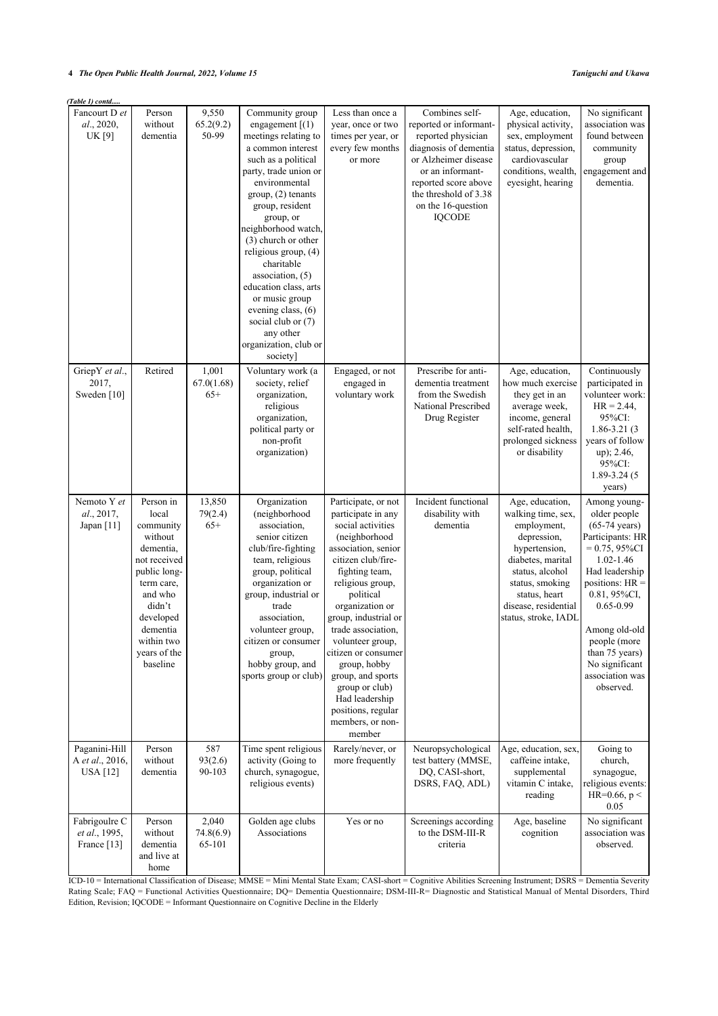| Table 1) contd                                      |                                                                                                                                                                                               |                              |                                                                                                                                                                                                                                                                                                                                                                                                                                                                  |                                                                                                                                                                                                                                                                                                                                                                                                                          |                                                                                                                                                                                                                             |                                                                                                                                                                                                                  |                                                                                                                                                                                                                                                                                                           |
|-----------------------------------------------------|-----------------------------------------------------------------------------------------------------------------------------------------------------------------------------------------------|------------------------------|------------------------------------------------------------------------------------------------------------------------------------------------------------------------------------------------------------------------------------------------------------------------------------------------------------------------------------------------------------------------------------------------------------------------------------------------------------------|--------------------------------------------------------------------------------------------------------------------------------------------------------------------------------------------------------------------------------------------------------------------------------------------------------------------------------------------------------------------------------------------------------------------------|-----------------------------------------------------------------------------------------------------------------------------------------------------------------------------------------------------------------------------|------------------------------------------------------------------------------------------------------------------------------------------------------------------------------------------------------------------|-----------------------------------------------------------------------------------------------------------------------------------------------------------------------------------------------------------------------------------------------------------------------------------------------------------|
| Fancourt D et<br>al., 2020,<br>UK[9]                | Person<br>without<br>dementia                                                                                                                                                                 | 9,550<br>65.2(9.2)<br>50-99  | Community group<br>engagement $(1)$<br>meetings relating to<br>a common interest<br>such as a political<br>party, trade union or<br>environmental<br>$group, (2)$ tenants<br>group, resident<br>group, or<br>neighborhood watch,<br>(3) church or other<br>religious group, $(4)$<br>charitable<br>association, $(5)$<br>education class, arts<br>or music group<br>evening class, (6)<br>social club or $(7)$<br>any other<br>organization, club or<br>society] | Less than once a<br>year, once or two<br>times per year, or<br>every few months<br>or more                                                                                                                                                                                                                                                                                                                               | Combines self-<br>reported or informant-<br>reported physician<br>diagnosis of dementia<br>or Alzheimer disease<br>or an informant-<br>reported score above<br>the threshold of 3.38<br>on the 16-question<br><b>IQCODE</b> | Age, education,<br>physical activity,<br>sex, employment<br>status, depression,<br>cardiovascular<br>conditions, wealth,<br>eyesight, hearing                                                                    | No significant<br>association was<br>found between<br>community<br>group<br>engagement and<br>dementia.                                                                                                                                                                                                   |
| GriepY et al.,<br>2017,<br>Sweden [10]              | Retired                                                                                                                                                                                       | 1,001<br>67.0(1.68)<br>$65+$ | Voluntary work (a<br>society, relief<br>organization,<br>religious<br>organization,<br>political party or<br>non-profit<br>organization)                                                                                                                                                                                                                                                                                                                         | Engaged, or not<br>engaged in<br>voluntary work                                                                                                                                                                                                                                                                                                                                                                          | Prescribe for anti-<br>dementia treatment<br>from the Swedish<br>National Prescribed<br>Drug Register                                                                                                                       | Age, education,<br>how much exercise<br>they get in an<br>average week,<br>income, general<br>self-rated health,<br>prolonged sickness<br>or disability                                                          | Continuously<br>participated in<br>volunteer work:<br>$HR = 2.44$ ,<br>95%CI:<br>$1.86 - 3.21(3)$<br>years of follow<br>up); 2.46,<br>95%CI:<br>$1.89 - 3.24(5)$<br>years)                                                                                                                                |
| Nemoto Y et<br>al., 2017,<br>Japan [11]             | Person in<br>local<br>community<br>without<br>dementia,<br>not received<br>public long-<br>term care,<br>and who<br>didn't<br>developed<br>dementia<br>within two<br>years of the<br>baseline | 13,850<br>79(2.4)<br>$65+$   | Organization<br>(neighborhood<br>association,<br>senior citizen<br>club/fire-fighting<br>team, religious<br>group, political<br>organization or<br>group, industrial or<br>trade<br>association,<br>volunteer group,<br>citizen or consumer<br>group,<br>hobby group, and<br>sports group or club)                                                                                                                                                               | Participate, or not<br>participate in any<br>social activities<br>(neighborhood<br>association, senior<br>citizen club/fire-<br>fighting team,<br>religious group,<br>political<br>organization or<br>group, industrial or<br>trade association,<br>volunteer group,<br>citizen or consumer<br>group, hobby<br>group, and sports<br>group or club)<br>Had leadership<br>positions, regular<br>members, or non-<br>member | Incident functional<br>disability with<br>dementia                                                                                                                                                                          | Age, education,<br>walking time, sex,<br>employment,<br>depression,<br>hypertension,<br>diabetes, marital<br>status, alcohol<br>status, smoking<br>status, heart<br>disease, residential<br>status, stroke, IADL | Among young-<br>older people<br>$(65-74 \text{ years})$<br>Participants: HR<br>$= 0.75, 95\% \text{CI}$<br>$1.02 - 1.46$<br>Had leadership<br>positions: $HR =$<br>$0.81, 95\%$ CI,<br>$0.65 - 0.99$<br>Among old-old<br>people (more<br>than 75 years)<br>No significant<br>association was<br>observed. |
| Paganini-Hill<br>A et al., 2016,<br><b>USA</b> [12] | Person<br>without<br>dementia                                                                                                                                                                 | 587<br>93(2.6)<br>90-103     | Time spent religious<br>activity (Going to<br>church, synagogue,<br>religious events)                                                                                                                                                                                                                                                                                                                                                                            | Rarely/never, or<br>more frequently                                                                                                                                                                                                                                                                                                                                                                                      | Neuropsychological<br>test battery (MMSE,<br>DQ, CASI-short,<br>DSRS, FAQ, ADL)                                                                                                                                             | Age, education, sex,<br>caffeine intake,<br>supplemental<br>vitamin C intake,<br>reading                                                                                                                         | Going to<br>church,<br>synagogue,<br>religious events:<br>HR=0.66, $p <$<br>0.05                                                                                                                                                                                                                          |
| Fabrigoulre C<br>et al., 1995,<br>France [13]       | Person<br>without<br>dementia<br>and live at<br>home                                                                                                                                          | 2,040<br>74.8(6.9)<br>65-101 | Golden age clubs<br>Associations                                                                                                                                                                                                                                                                                                                                                                                                                                 | Yes or no                                                                                                                                                                                                                                                                                                                                                                                                                | Screenings according<br>to the DSM-III-R<br>criteria                                                                                                                                                                        | Age, baseline<br>cognition                                                                                                                                                                                       | No significant<br>association was<br>observed.                                                                                                                                                                                                                                                            |

ICD-10 = International Classification of Disease; MMSE = Mini Mental State Exam; CASI-short = Cognitive Abilities Screening Instrument; DSRS = Dementia Severity Rating Scale; FAQ = Functional Activities Questionnaire; DQ= Dementia Questionnaire; DSM-III-R= Diagnostic and Statistical Manual of Mental Disorders, Third Edition, Revision; IQCODE = Informant Questionnaire on Cognitive Decline in the Elderly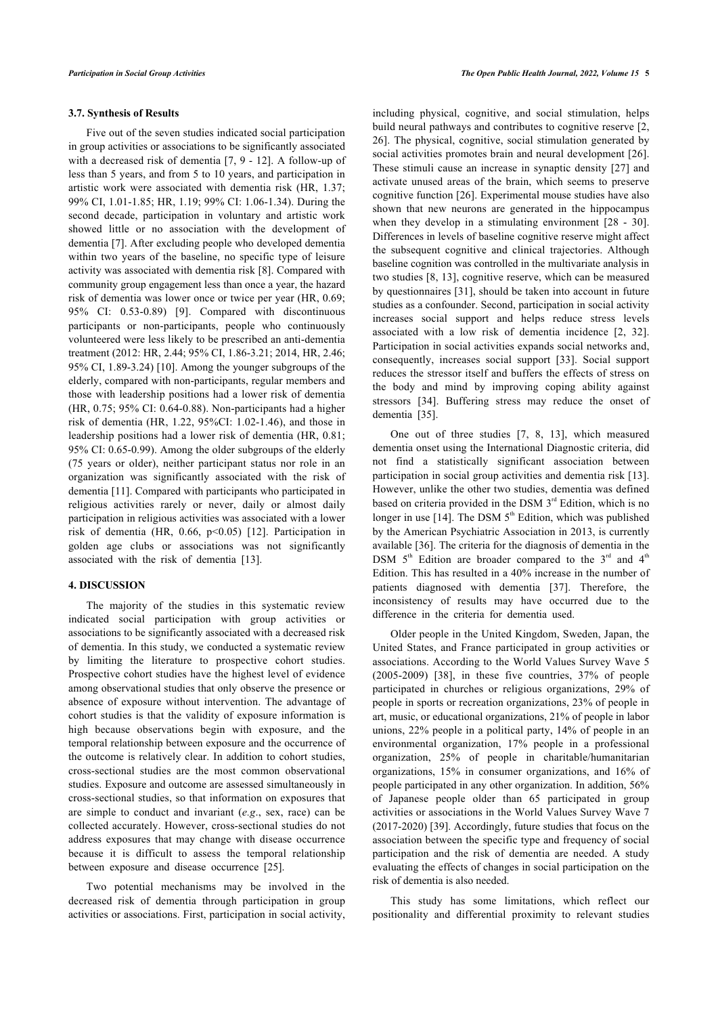#### **3.7. Synthesis of Results**

Five out of the seven studies indicated social participation in group activities or associations to be significantly associated with a decreased risk of dementia [\[7,](#page-5-6) [9](#page-5-9) - [12\]](#page-5-12). A follow-up of less than 5 years, and from 5 to 10 years, and participation in artistic work were associated with dementia risk (HR, 1.37; 99% CI, 1.01-1.85; HR, 1.19; 99% CI: 1.06-1.34). During the second decade, participation in voluntary and artistic work showed little or no association with the development of dementia [[7](#page-5-6)]. After excluding people who developed dementia within two years of the baseline, no specific type of leisure activity was associated with dementia risk [\[8\]](#page-5-8). Compared with community group engagement less than once a year, the hazard risk of dementia was lower once or twice per year (HR, 0.69; 95% CI: 0.53-0.89)[[9](#page-5-9)]. Compared with discontinuous participants or non-participants, people who continuously volunteered were less likely to be prescribed an anti-dementia treatment (2012: HR, 2.44; 95% CI, 1.86-3.21; 2014, HR, 2.46; 95% CI, 1.89-3.24) [[10](#page-5-10)]. Among the younger subgroups of the elderly, compared with non-participants, regular members and those with leadership positions had a lower risk of dementia (HR, 0.75; 95% CI: 0.64-0.88). Non-participants had a higher risk of dementia (HR, 1.22, 95%CI: 1.02-1.46), and those in leadership positions had a lower risk of dementia (HR, 0.81; 95% CI: 0.65-0.99). Among the older subgroups of the elderly (75 years or older), neither participant status nor role in an organization was significantly associated with the risk of dementia [\[11\]](#page-5-11). Compared with participants who participated in religious activities rarely or never, daily or almost daily participation in religious activities was associated with a lower risk of dementia (HR, 0.66, p<0.05) [\[12](#page-5-12)]. Participation in golden age clubs or associations was not significantly associated with the risk of dementia [\[13](#page-5-7)].

#### **4. DISCUSSION**

The majority of the studies in this systematic review indicated social participation with group activities or associations to be significantly associated with a decreased risk of dementia. In this study, we conducted a systematic review by limiting the literature to prospective cohort studies. Prospective cohort studies have the highest level of evidence among observational studies that only observe the presence or absence of exposure without intervention. The advantage of cohort studies is that the validity of exposure information is high because observations begin with exposure, and the temporal relationship between exposure and the occurrence of the outcome is relatively clear. In addition to cohort studies, cross-sectional studies are the most common observational studies. Exposure and outcome are assessed simultaneously in cross-sectional studies, so that information on exposures that are simple to conduct and invariant (*e.g*., sex, race) can be collected accurately. However, cross-sectional studies do not address exposures that may change with disease occurrence because it is difficult to assess the temporal relationship between exposure and disease occurrence[[25\]](#page-6-5).

Two potential mechanisms may be involved in the decreased risk of dementia through participation in group activities or associations. First, participation in social activity,

including physical, cognitive, and social stimulation, helps build neural pathways and contributes to cognitive reserve [[2](#page-5-1), [26](#page-6-6)]. The physical, cognitive, social stimulation generated by social activities promotes brain and neural development [[26](#page-6-6)]. These stimuli cause an increase in synaptic density [[27](#page-6-7)] and activate unused areas of the brain, which seems to preserve cognitive function [\[26\]](#page-6-6). Experimental mouse studies have also shown that new neurons are generated in the hippocampus whenthey develop in a stimulating environment [[28](#page-6-8) - [30](#page-6-9)]. Differences in levels of baseline cognitive reserve might affect the subsequent cognitive and clinical trajectories. Although baseline cognition was controlled in the multivariate analysis in two studies [[8](#page-5-8), [13](#page-5-7)], cognitive reserve, which can be measured by questionnaires [[31](#page-6-10)], should be taken into account in future studies as a confounder. Second, participation in social activity increases social support and helps reduce stress levels associated with a low risk of dementia incidence [\[2](#page-5-1), [32](#page-6-11)]. Participation in social activities expands social networks and, consequently, increases social support [\[33](#page-6-12)]. Social support reduces the stressor itself and buffers the effects of stress on the body and mind by improving coping ability against stressors[[34\]](#page-6-13). Buffering stress may reduce the onset of dementia [\[35](#page-6-14)].

One out of three studies[[7](#page-5-6), [8](#page-5-8), [13](#page-5-7)], which measured dementia onset using the International Diagnostic criteria, did not find a statistically significant association between participation in social group activities and dementia risk [[13](#page-5-7)]. However, unlike the other two studies, dementia was defined based on criteria provided in the DSM  $3<sup>rd</sup>$  Edition, which is no longer in use [\[14\]](#page-5-13). The DSM  $5<sup>th</sup>$  Edition, which was published by the American Psychiatric Association in 2013, is currently available [\[36](#page-6-15)]. The criteria for the diagnosis of dementia in the DSM  $5<sup>th</sup>$  Edition are broader compared to the  $3<sup>rd</sup>$  and  $4<sup>th</sup>$ Edition. This has resulted in a 40% increase in the number of patients diagnosed with dementia[[37](#page-6-16)]. Therefore, the inconsistency of results may have occurred due to the difference in the criteria for dementia used.

Older people in the United Kingdom, Sweden, Japan, the United States, and France participated in group activities or associations. According to the World Values Survey Wave 5 (2005-2009) [\[38](#page-6-5)], in these five countries, 37% of people participated in churches or religious organizations, 29% of people in sports or recreation organizations, 23% of people in art, music, or educational organizations, 21% of people in labor unions, 22% people in a political party, 14% of people in an environmental organization, 17% people in a professional organization, 25% of people in charitable/humanitarian organizations, 15% in consumer organizations, and 16% of people participated in any other organization. In addition, 56% of Japanese people older than 65 participated in group activities or associations in the World Values Survey Wave 7 (2017-2020) [[39\]](#page-6-17). Accordingly, future studies that focus on the association between the specific type and frequency of social participation and the risk of dementia are needed. A study evaluating the effects of changes in social participation on the risk of dementia is also needed.

This study has some limitations, which reflect our positionality and differential proximity to relevant studies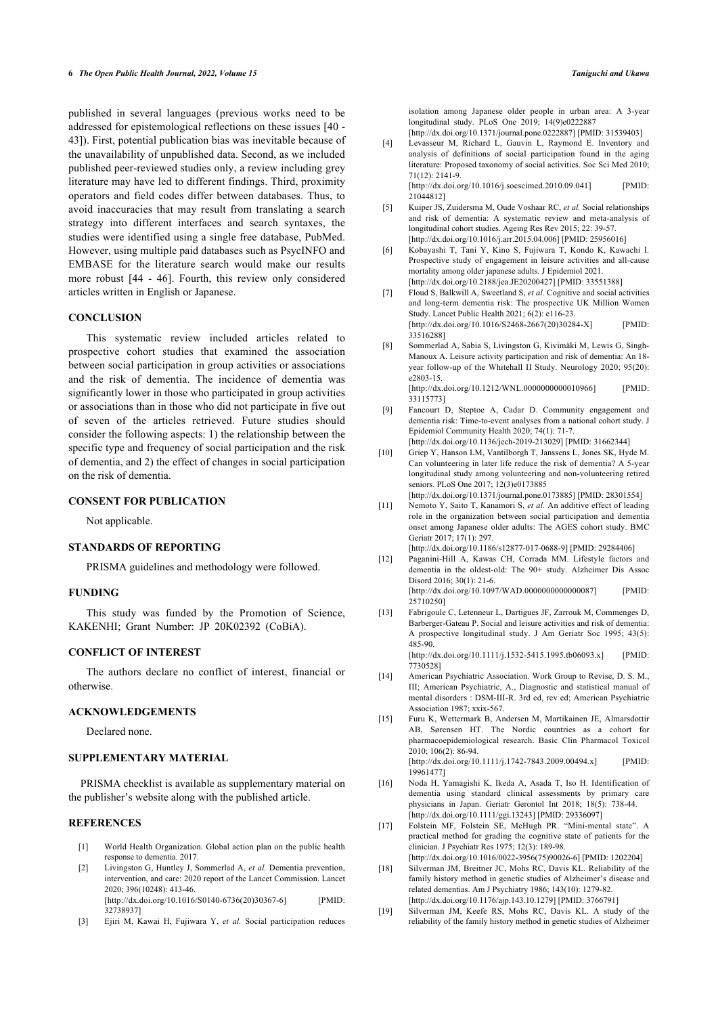<span id="page-5-4"></span><span id="page-5-3"></span>published in several languages (previous works need to be addressed for epistemological reflections on these issues [[40](#page-6-7) - [43\]](#page-6-18)). First, potential publication bias was inevitable because of the unavailability of unpublished data. Second, as we included published peer-reviewed studies only, a review including grey literature may have led to different findings. Third, proximity operators and field codes differ between databases. Thus, to avoid inaccuracies that may result from translating a search strategy into different interfaces and search syntaxes, the studies were identified using a single free database, PubMed. However, using multiple paid databases such as PsycINFO and EMBASE for the literature search would make our results more robust[[44](#page-6-9) - [46](#page-6-10)]. Fourth, this review only considered articles written in English or Japanese.

#### <span id="page-5-6"></span><span id="page-5-5"></span>**CONCLUSION**

<span id="page-5-9"></span><span id="page-5-8"></span>This systematic review included articles related to prospective cohort studies that examined the association between social participation in group activities or associations and the risk of dementia. The incidence of dementia was significantly lower in those who participated in group activities or associations than in those who did not participate in five out of seven of the articles retrieved. Future studies should consider the following aspects: 1) the relationship between the specific type and frequency of social participation and the risk of dementia, and 2) the effect of changes in social participation on the risk of dementia.

#### <span id="page-5-11"></span><span id="page-5-10"></span>**CONSENT FOR PUBLICATION**

Not applicable.

#### <span id="page-5-12"></span>**STANDARDS OF REPORTING**

PRISMA guidelines and methodology were followed.

#### **FUNDING**

<span id="page-5-7"></span>This study was funded by the Promotion of Science, KAKENHI; Grant Number: JP 20K02392 (CoBiA).

#### **CONFLICT OF INTEREST**

<span id="page-5-13"></span>The authors declare no conflict of interest, financial or otherwise.

#### <span id="page-5-14"></span>**ACKNOWLEDGEMENTS**

Declared none.

### **SUPPLEMENTARY MATERIAL**

<span id="page-5-15"></span>PRISMA checklist is available as supplementary material on the publisher's website along with the published article.

#### <span id="page-5-16"></span><span id="page-5-0"></span>**REFERENCES**

- [1] World Health Organization. Global action plan on the public health response to dementia. 2017.
- <span id="page-5-17"></span><span id="page-5-1"></span>[2] Livingston G, Huntley J, Sommerlad A, *et al.* Dementia prevention, intervention, and care: 2020 report of the Lancet Commission. Lancet 2020; 396(10248): 413-46. [\[http://dx.doi.org/10.1016/S0140-6736\(20\)30367-6](http://dx.doi.org/10.1016/S0140-6736(20)30367-6)] [PMID: [32738937\]](http://www.ncbi.nlm.nih.gov/pubmed/32738937)
- <span id="page-5-2"></span>[3] Ejiri M, Kawai H, Fujiwara Y, *et al.* Social participation reduces

isolation among Japanese older people in urban area: A 3-year longitudinal study. PLoS One 2019; 14(9)e0222887

- [\[http://dx.doi.org/10.1371/journal.pone.0222887\]](http://dx.doi.org/10.1371/journal.pone.0222887) [PMID: [31539403\]](http://www.ncbi.nlm.nih.gov/pubmed/31539403) [4] Levasseur M, Richard L, Gauvin L, Raymond E. Inventory and analysis of definitions of social participation found in the aging
- literature: Proposed taxonomy of social activities. Soc Sci Med 2010; 71(12): 2141-9.  $[http://dx.doi.org/10.1016/j.socscimed.2010.09.041]$  $[http://dx.doi.org/10.1016/j.socscimed.2010.09.041]$

[21044812\]](http://www.ncbi.nlm.nih.gov/pubmed/21044812)

- [5] Kuiper JS, Zuidersma M, Oude Voshaar RC, *et al.* Social relationships and risk of dementia: A systematic review and meta-analysis of longitudinal cohort studies. Ageing Res Rev 2015; 22: 39-57. [\[http://dx.doi.org/10.1016/j.arr.2015.04.006\]](http://dx.doi.org/10.1016/j.arr.2015.04.006) [PMID: [25956016](http://www.ncbi.nlm.nih.gov/pubmed/25956016)]
- [6] Kobayashi T, Tani Y, Kino S, Fujiwara T, Kondo K, Kawachi I. Prospective study of engagement in leisure activities and all-cause mortality among older japanese adults. J Epidemiol 2021. [\[http://dx.doi.org/10.2188/jea.JE20200427](http://dx.doi.org/10.2188/jea.JE20200427)] [PMID: [33551388\]](http://www.ncbi.nlm.nih.gov/pubmed/33551388)
- [7] Floud S, Balkwill A, Sweetland S, *et al.* Cognitive and social activities and long-term dementia risk: The prospective UK Million Women Study. Lancet Public Health 2021; 6(2): e116-23. [\[http://dx.doi.org/10.1016/S2468-2667\(20\)30284-X](http://dx.doi.org/10.1016/S2468-2667(20)30284-X)] [PMID: [33516288\]](http://www.ncbi.nlm.nih.gov/pubmed/33516288)
- [8] Sommerlad A, Sabia S, Livingston G, Kivimäki M, Lewis G, Singh-Manoux A. Leisure activity participation and risk of dementia: An 18 year follow-up of the Whitehall II Study. Neurology 2020; 95(20): e2803-15. [\[http://dx.doi.org/10.1212/WNL.0000000000010966\]](http://dx.doi.org/10.1212/WNL.0000000000010966) [PMID:
- [33115773\]](http://www.ncbi.nlm.nih.gov/pubmed/33115773) [9] Fancourt D, Steptoe A, Cadar D. Community engagement and dementia risk: Time-to-event analyses from a national cohort study. J Epidemiol Community Health 2020; 74(1): 71-7.
- [\[http://dx.doi.org/10.1136/jech-2019-213029\]](http://dx.doi.org/10.1136/jech-2019-213029) [PMID: [31662344](http://www.ncbi.nlm.nih.gov/pubmed/31662344)]
- [10] Griep Y, Hanson LM, Vantilborgh T, Janssens L, Jones SK, Hyde M. Can volunteering in later life reduce the risk of dementia? A 5-year longitudinal study among volunteering and non-volunteering retired seniors. PLoS One 2017; 12(3)e0173885 [\[http://dx.doi.org/10.1371/journal.pone.0173885\]](http://dx.doi.org/10.1371/journal.pone.0173885) [PMID: [28301554\]](http://www.ncbi.nlm.nih.gov/pubmed/28301554)
- [11] Nemoto Y, Saito T, Kanamori S, *et al.* An additive effect of leading role in the organization between social participation and dementia onset among Japanese older adults: The AGES cohort study. BMC Geriatr 2017; 17(1): 297. [\[http://dx.doi.org/10.1186/s12877-017-0688-9\]](http://dx.doi.org/10.1186/s12877-017-0688-9) [PMID: [29284406](http://www.ncbi.nlm.nih.gov/pubmed/29284406)]
- [12] Paganini-Hill A, Kawas CH, Corrada MM. Lifestyle factors and dementia in the oldest-old: The 90+ study. Alzheimer Dis Assoc
- Disord 2016; 30(1): 21-6. [\[http://dx.doi.org/10.1097/WAD.0000000000000087\]](http://dx.doi.org/10.1097/WAD.0000000000000087) [PMID: [25710250\]](http://www.ncbi.nlm.nih.gov/pubmed/25710250)
- [13] Fabrigoule C, Letenneur L, Dartigues JF, Zarrouk M, Commenges D, Barberger-Gateau P. Social and leisure activities and risk of dementia: A prospective longitudinal study. J Am Geriatr Soc 1995; 43(5): 485-90.

[\[http://dx.doi.org/10.1111/j.1532-5415.1995.tb06093.x](http://dx.doi.org/10.1111/j.1532-5415.1995.tb06093.x)] [PMID: [7730528](http://www.ncbi.nlm.nih.gov/pubmed/7730528)]

- [14] American Psychiatric Association. Work Group to Revise, D. S. M., III; American Psychiatric, A., Diagnostic and statistical manual of mental disorders : DSM-III-R. 3rd ed, rev ed; American Psychiatric Association 1987; xxix-567.
- [15] Furu K, Wettermark B, Andersen M, Martikainen JE, Almarsdottir AB, Sørensen HT. The Nordic countries as a cohort for pharmacoepidemiological research. Basic Clin Pharmacol Toxicol 2010; 106(2): 86-94.

[\[http://dx.doi.org/10.1111/j.1742-7843.2009.00494.x\]](http://dx.doi.org/10.1111/j.1742-7843.2009.00494.x) [PMID: [19961477\]](http://www.ncbi.nlm.nih.gov/pubmed/19961477)

- [16] Noda H, Yamagishi K, Ikeda A, Asada T, Iso H. Identification of dementia using standard clinical assessments by primary care physicians in Japan. Geriatr Gerontol Int 2018; 18(5): 738-44. [\[http://dx.doi.org/10.1111/ggi.13243\]](http://dx.doi.org/10.1111/ggi.13243) [PMID: [29336097](http://www.ncbi.nlm.nih.gov/pubmed/29336097)]
- [17] Folstein MF, Folstein SE, McHugh PR. "Mini-mental state". A practical method for grading the cognitive state of patients for the clinician. J Psychiatr Res 1975; 12(3): 189-98. [\[http://dx.doi.org/10.1016/0022-3956\(75\)90026-6\]](http://dx.doi.org/10.1016/0022-3956(75)90026-6) [PMID: [1202204\]](http://www.ncbi.nlm.nih.gov/pubmed/1202204)
- [18] Silverman JM, Breitner JC, Mohs RC, Davis KL. Reliability of the family history method in genetic studies of Alzheimer's disease and related dementias. Am J Psychiatry 1986; 143(10): 1279-82. [\[http://dx.doi.org/10.1176/ajp.143.10.1279\]](http://dx.doi.org/10.1176/ajp.143.10.1279) [PMID: [3766791\]](http://www.ncbi.nlm.nih.gov/pubmed/3766791)
- [19] Silverman JM, Keefe RS, Mohs RC, Davis KL. A study of the reliability of the family history method in genetic studies of Alzheimer